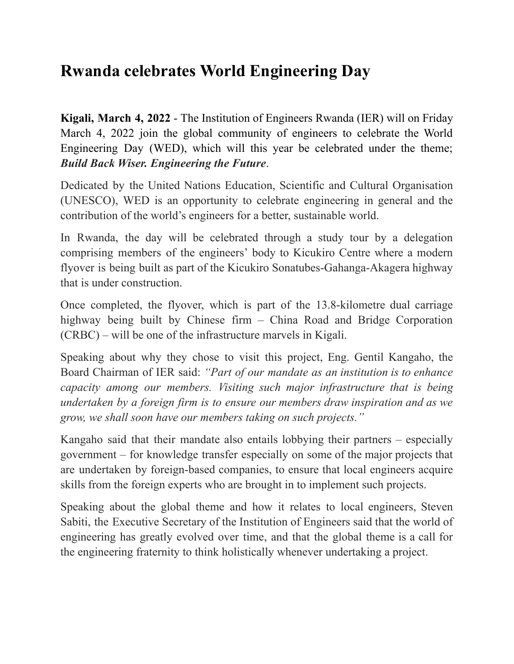## **Rwanda celebrates World Engineering Day**

**Kigali, March 4, 2022** - The Institution of Engineers Rwanda (IER) will on Friday March 4, 2022 join the global community of engineers to celebrate the World Engineering Day (WED), which will this year be celebrated under the theme; *Build Back Wiser. Engineering the Future*.

Dedicated by the United Nations Education, Scientific and Cultural Organisation (UNESCO), WED is an opportunity to celebrate engineering in general and the contribution of the world's engineers for a better, sustainable world.

In Rwanda, the day will be celebrated through a study tour by a delegation comprising members of the engineers' body to Kicukiro Centre where a modern flyover is being built as part of the Kicukiro Sonatubes-Gahanga-Akagera highway that is under construction.

Once completed, the flyover, which is part of the 13.8-kilometre dual carriage highway being built by Chinese firm – China Road and Bridge Corporation (CRBC) – will be one of the infrastructure marvels in Kigali.

Speaking about why they chose to visit this project, Eng. Gentil Kangaho, the Board Chairman of IER said: *"Part of our mandate as an institution is to enhance capacity among our members. Visiting such major infrastructure that is being undertaken by a foreign firm is to ensure our members draw inspiration and as we grow, we shall soon have our members taking on such projects."*

Kangaho said that their mandate also entails lobbying their partners – especially government – for knowledge transfer especially on some of the major projects that are undertaken by foreign-based companies, to ensure that local engineers acquire skills from the foreign experts who are brought in to implement such projects.

Speaking about the global theme and how it relates to local engineers, Steven Sabiti, the Executive Secretary of the Institution of Engineers said that the world of engineering has greatly evolved over time, and that the global theme is a call for the engineering fraternity to think holistically whenever undertaking a project.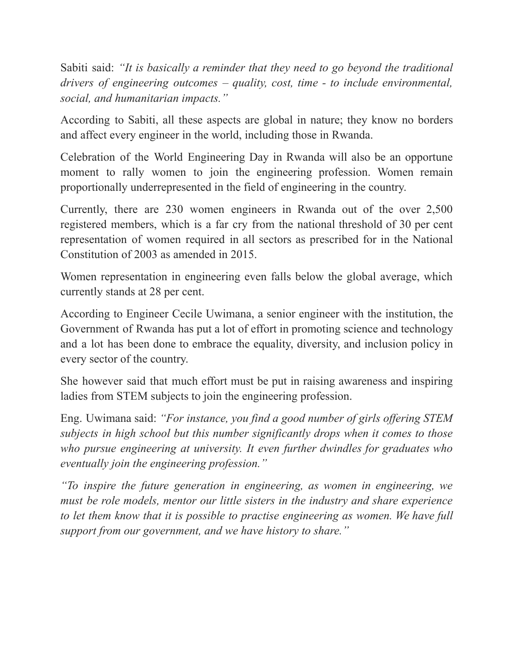Sabiti said: *"It is basically a reminder that they need to go beyond the traditional drivers of engineering outcomes – quality, cost, time - to include environmental, social, and humanitarian impacts."*

According to Sabiti, all these aspects are global in nature; they know no borders and affect every engineer in the world, including those in Rwanda.

Celebration of the World Engineering Day in Rwanda will also be an opportune moment to rally women to join the engineering profession. Women remain proportionally underrepresented in the field of engineering in the country.

Currently, there are 230 women engineers in Rwanda out of the over 2,500 registered members, which is a far cry from the national threshold of 30 per cent representation of women required in all sectors as prescribed for in the National Constitution of 2003 as amended in 2015.

Women representation in engineering even falls below the global average, which currently stands at 28 per cent.

According to Engineer Cecile Uwimana, a senior engineer with the institution, the Government of Rwanda has put a lot of effort in promoting science and technology and a lot has been done to embrace the equality, diversity, and inclusion policy in every sector of the country.

She however said that much effort must be put in raising awareness and inspiring ladies from STEM subjects to join the engineering profession.

Eng. Uwimana said: *"For instance, you find a good number of girls of ering STEM subjects in high school but this number significantly drops when it comes to those who pursue engineering at university. It even further dwindles for graduates who eventually join the engineering profession."*

*"To inspire the future generation in engineering, as women in engineering, we must be role models, mentor our little sisters in the industry and share experience to let them know that it is possible to practise engineering as women. We have full support from our government, and we have history to share."*